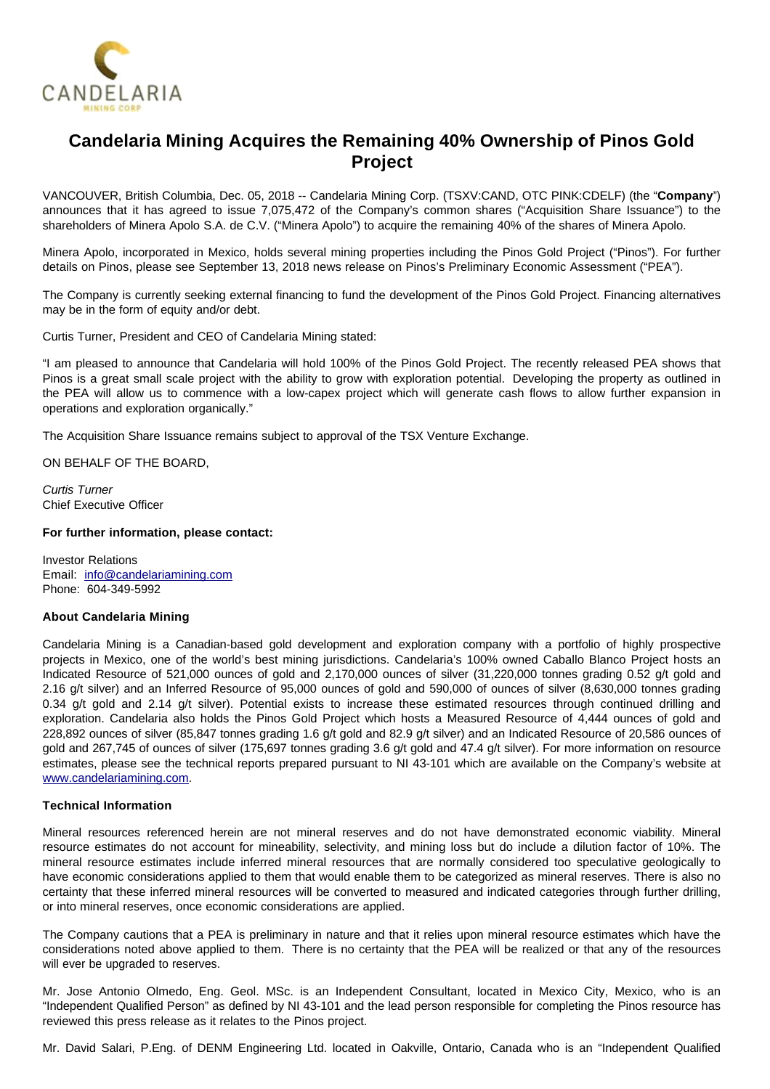

# **Candelaria Mining Acquires the Remaining 40% Ownership of Pinos Gold Project**

VANCOUVER, British Columbia, Dec. 05, 2018 -- Candelaria Mining Corp. (TSXV:CAND, OTC PINK:CDELF) (the "**Company**") announces that it has agreed to issue 7,075,472 of the Company's common shares ("Acquisition Share Issuance") to the shareholders of Minera Apolo S.A. de C.V. ("Minera Apolo") to acquire the remaining 40% of the shares of Minera Apolo.

Minera Apolo, incorporated in Mexico, holds several mining properties including the Pinos Gold Project ("Pinos"). For further details on Pinos, please see September 13, 2018 news release on Pinos's Preliminary Economic Assessment ("PEA").

The Company is currently seeking external financing to fund the development of the Pinos Gold Project. Financing alternatives may be in the form of equity and/or debt.

Curtis Turner, President and CEO of Candelaria Mining stated:

"I am pleased to announce that Candelaria will hold 100% of the Pinos Gold Project. The recently released PEA shows that Pinos is a great small scale project with the ability to grow with exploration potential. Developing the property as outlined in the PEA will allow us to commence with a low-capex project which will generate cash flows to allow further expansion in operations and exploration organically."

The Acquisition Share Issuance remains subject to approval of the TSX Venture Exchange.

ON BEHALF OF THE BOARD,

Curtis Turner Chief Executive Officer

#### **For further information, please contact:**

Investor Relations Email: [info@candelariamining.com](mailto:info@candelariamining.com) Phone: 604-349-5992

### **About Candelaria Mining**

Candelaria Mining is a Canadian-based gold development and exploration company with a portfolio of highly prospective projects in Mexico, one of the world's best mining jurisdictions. Candelaria's 100% owned Caballo Blanco Project hosts an Indicated Resource of 521,000 ounces of gold and 2,170,000 ounces of silver (31,220,000 tonnes grading 0.52 g/t gold and 2.16 g/t silver) and an Inferred Resource of 95,000 ounces of gold and 590,000 of ounces of silver (8,630,000 tonnes grading 0.34 g/t gold and 2.14 g/t silver). Potential exists to increase these estimated resources through continued drilling and exploration. Candelaria also holds the Pinos Gold Project which hosts a Measured Resource of 4,444 ounces of gold and 228,892 ounces of silver (85,847 tonnes grading 1.6 g/t gold and 82.9 g/t silver) and an Indicated Resource of 20,586 ounces of gold and 267,745 of ounces of silver (175,697 tonnes grading 3.6 g/t gold and 47.4 g/t silver). For more information on resource estimates, please see the technical reports prepared pursuant to NI 43-101 which are available on the Company's website at [www.candelariamining.com.](http://www.candelariamining.com/)

#### **Technical Information**

Mineral resources referenced herein are not mineral reserves and do not have demonstrated economic viability. Mineral resource estimates do not account for mineability, selectivity, and mining loss but do include a dilution factor of 10%. The mineral resource estimates include inferred mineral resources that are normally considered too speculative geologically to have economic considerations applied to them that would enable them to be categorized as mineral reserves. There is also no certainty that these inferred mineral resources will be converted to measured and indicated categories through further drilling, or into mineral reserves, once economic considerations are applied.

The Company cautions that a PEA is preliminary in nature and that it relies upon mineral resource estimates which have the considerations noted above applied to them. There is no certainty that the PEA will be realized or that any of the resources will ever be upgraded to reserves.

Mr. Jose Antonio Olmedo, Eng. Geol. MSc. is an Independent Consultant, located in Mexico City, Mexico, who is an "Independent Qualified Person" as defined by NI 43-101 and the lead person responsible for completing the Pinos resource has reviewed this press release as it relates to the Pinos project.

Mr. David Salari, P.Eng. of DENM Engineering Ltd. located in Oakville, Ontario, Canada who is an "Independent Qualified